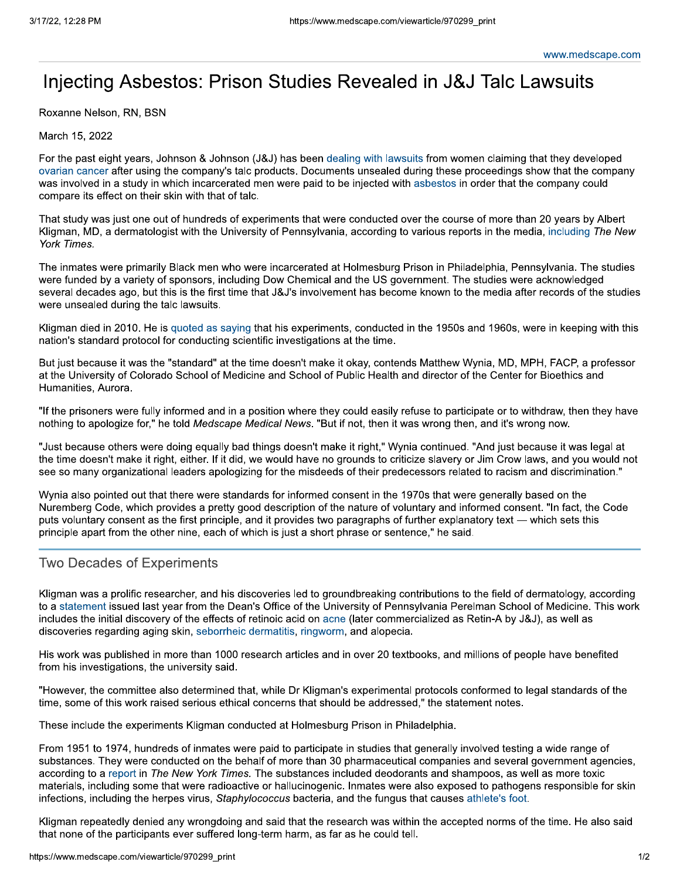# Injecting Asbestos: Prison Studies Revealed in J&J Talc Lawsuits

Roxanne Nelson, RN, BSN

### March 15, 2022

For the past eight years, Johnson & Johnson (J&J) has been dealing with lawsuits from women claiming that they developed ovarian cancer after using the company's talc products. Documents unsealed during these proceedings show that the company was involved in a study in which incarcerated men were paid to be injected with asbestos in order that the company could compare its effect on their skin with that of talc.

That study was just one out of hundreds of experiments that were conducted over the course of more than 20 years by Albert Kligman, MD, a dermatologist with the University of Pennsylvania, according to various reports in the media, including The New York Times.

The inmates were primarily Black men who were incarcerated at Holmesburg Prison in Philadelphia, Pennsylvania. The studies were funded by a variety of sponsors, including Dow Chemical and the US government. The studies were acknowledged several decades ago, but this is the first time that J&J's involvement has become known to the media after records of the studies were unsealed during the talc lawsuits.

Kligman died in 2010. He is quoted as saying that his experiments, conducted in the 1950s and 1960s, were in keeping with this nation's standard protocol for conducting scientific investigations at the time.

But just because it was the "standard" at the time doesn't make it okay, contends Matthew Wynia, MD, MPH, FACP, a professor at the University of Colorado School of Medicine and School of Public Health and director of the Center for Bioethics and Humanities, Aurora.

"If the prisoners were fully informed and in a position where they could easily refuse to participate or to withdraw, then they have nothing to apologize for," he told Medscape Medical News. "But if not, then it was wrong then, and it's wrong now.

"Just because others were doing equally bad things doesn't make it right," Wynia continued. "And just because it was legal at the time doesn't make it right, either. If it did, we would have no grounds to criticize slavery or Jim Crow laws, and you would not see so many organizational leaders apologizing for the misdeeds of their predecessors related to racism and discrimination."

Wynia also pointed out that there were standards for informed consent in the 1970s that were generally based on the Nuremberg Code, which provides a pretty good description of the nature of voluntary and informed consent. "In fact, the Code puts voluntary consent as the first principle, and it provides two paragraphs of further explanatory text — which sets this principle apart from the other nine, each of which is just a short phrase or sentence," he said.

## **Two Decades of Experiments**

Kligman was a prolific researcher, and his discoveries led to groundbreaking contributions to the field of dermatology, according to a statement issued last year from the Dean's Office of the University of Pennsylvania Perelman School of Medicine. This work includes the initial discovery of the effects of retinoic acid on acne (later commercialized as Retin-A by J&J), as well as discoveries regarding aging skin, seborrheic dermatitis, ringworm, and alopecia.

His work was published in more than 1000 research articles and in over 20 textbooks, and millions of people have benefited from his investigations, the university said.

"However, the committee also determined that, while Dr Kligman's experimental protocols conformed to legal standards of the time, some of this work raised serious ethical concerns that should be addressed," the statement notes.

These include the experiments Kligman conducted at Holmesburg Prison in Philadelphia.

From 1951 to 1974, hundreds of inmates were paid to participate in studies that generally involved testing a wide range of substances. They were conducted on the behalf of more than 30 pharmaceutical companies and several government agencies, according to a report in The New York Times. The substances included deodorants and shampoos, as well as more toxic materials, including some that were radioactive or hallucinogenic. Inmates were also exposed to pathogens responsible for skin infections, including the herpes virus, Staphylococcus bacteria, and the fungus that causes athlete's foot.

Kligman repeatedly denied any wrongdoing and said that the research was within the accepted norms of the time. He also said that none of the participants ever suffered long-term harm, as far as he could tell.